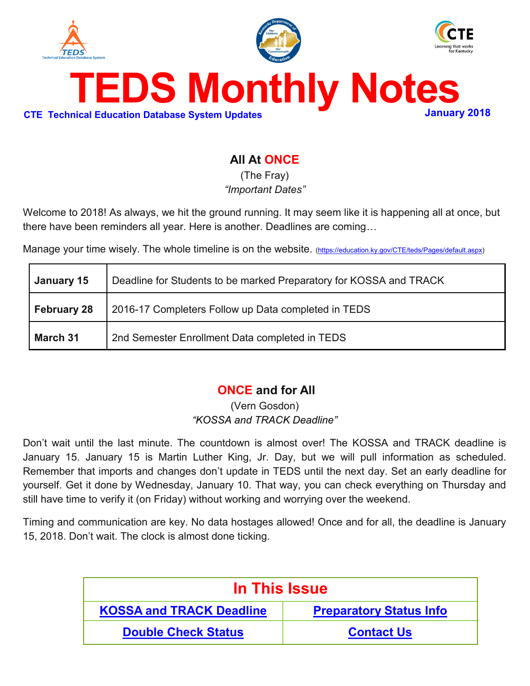<span id="page-0-0"></span>

# **All At ONCE**

(The Fray) *"Important Dates"*

Welcome to 2018! As always, we hit the ground running. It may seem like it is happening all at once, but there have been reminders all year. Here is another. Deadlines are coming…

Manage your time wisely. The whole timeline is on the website. [\(https://education.ky.gov/CTE/teds/Pages/default.aspx\)](https://education.ky.gov/CTE/teds/Pages/default.aspx)

| January 15         | Deadline for Students to be marked Preparatory for KOSSA and TRACK |  |
|--------------------|--------------------------------------------------------------------|--|
| <b>February 28</b> | 2016-17 Completers Follow up Data completed in TEDS                |  |
| <b>March 31</b>    | 2nd Semester Enrollment Data completed in TEDS                     |  |

# **ONCE and for All**

(Vern Gosdon) *"KOSSA and TRACK Deadline"*

Don't wait until the last minute. The countdown is almost over! The KOSSA and TRACK deadline is January 15. January 15 is Martin Luther King, Jr. Day, but we will pull information as scheduled. Remember that imports and changes don't update in TEDS until the next day. Set an early deadline for yourself. Get it done by Wednesday, January 10. That way, you can check everything on Thursday and still have time to verify it (on Friday) without working and worrying over the weekend.

Timing and communication are key. No data hostages allowed! Once and for all, the deadline is January 15, 2018. Don't wait. The clock is almost done ticking.

| In This Issue                   |                                |  |
|---------------------------------|--------------------------------|--|
| <b>KOSSA and TRACK Deadline</b> | <b>Preparatory Status Info</b> |  |
| <b>Double Check Status</b>      | <b>Contact Us</b>              |  |